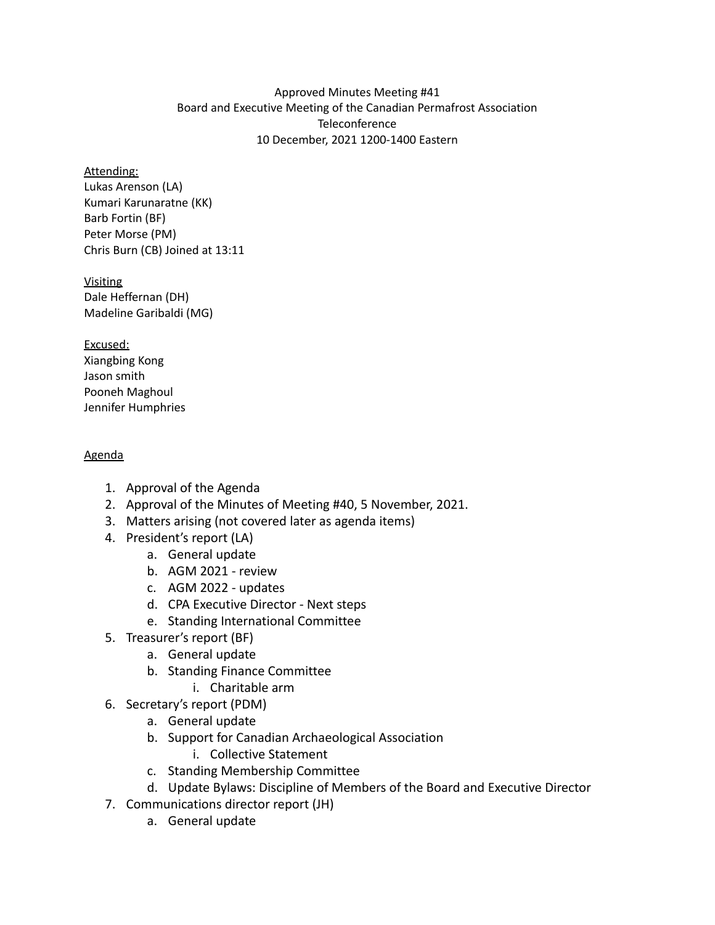#### Approved Minutes Meeting #41 Board and Executive Meeting of the Canadian Permafrost Association **Teleconference** 10 December, 2021 1200-1400 Eastern

#### Attending:

Lukas Arenson (LA) Kumari Karunaratne (KK) Barb Fortin (BF) Peter Morse (PM) Chris Burn (CB) Joined at 13:11

## Visiting

Dale Heffernan (DH) Madeline Garibaldi (MG)

## Excused:

Xiangbing Kong Jason smith Pooneh Maghoul Jennifer Humphries

## Agenda

- 1. Approval of the Agenda
- 2. Approval of the Minutes of Meeting #40, 5 November, 2021.
- 3. Matters arising (not covered later as agenda items)
- 4. President's report (LA)
	- a. General update
	- b. AGM 2021 review
	- c. AGM 2022 updates
	- d. CPA Executive Director Next steps
	- e. Standing International Committee
- 5. Treasurer's report (BF)
	- a. General update
	- b. Standing Finance Committee
		- i. Charitable arm
- 6. Secretary's report (PDM)
	- a. General update
	- b. Support for Canadian Archaeological Association
		- i. Collective Statement
	- c. Standing Membership Committee
	- d. Update Bylaws: Discipline of Members of the Board and Executive Director
- 7. Communications director report (JH)
	- a. General update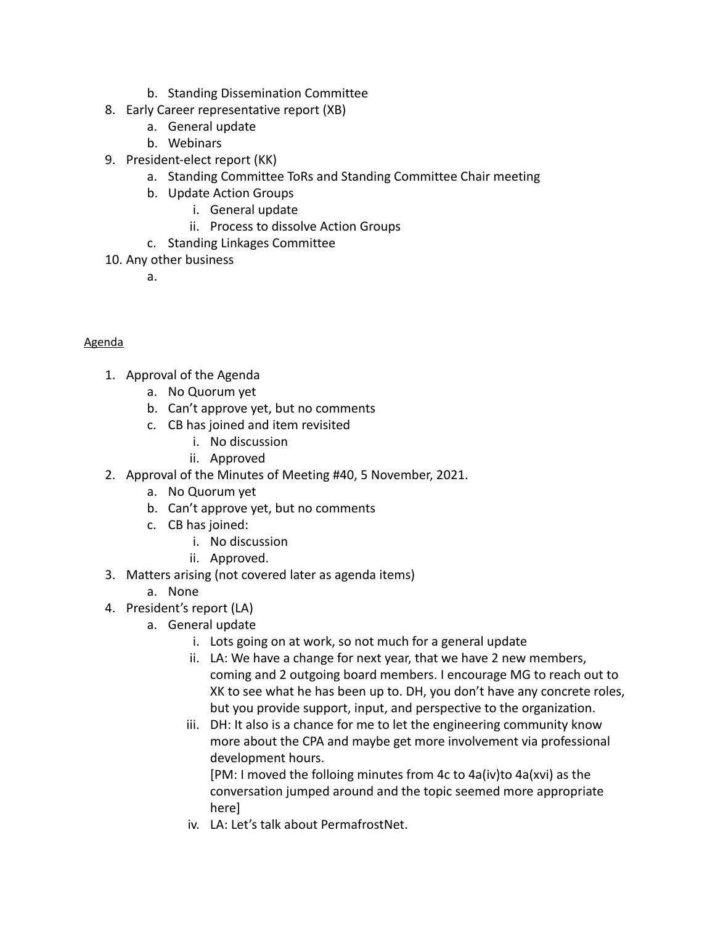- b. Standing Dissemination Committee
- 8. Early Career representative report (XB)
	- a. General update
	- b. Webinars
- 9. President-elect report (KK)
	- a. Standing Committee ToRs and Standing Committee Chair meeting
	- b. Update Action Groups
		- i. General update
		- ii. Process to dissolve Action Groups
	- c. Standing Linkages Committee
- 10. Any other business
	- a.

# Agenda

- 1. Approval of the Agenda
	- a. No Quorum yet
	- b. Can't approve yet, but no comments
	- c. CB has joined and item revisited
		- i. No discussion
		- ii. Approved
- 2. Approval of the Minutes of Meeting #40, 5 November, 2021.
	- a. No Quorum yet
	- b. Can't approve yet, but no comments
	- c. CB has joined:
		- i. No discussion
		- ii. Approved.
- 3. Matters arising (not covered later as agenda items)
	- a. None
- 4. President's report (LA)
	- a. General update
		- i. Lots going on at work, so not much for a general update
		- ii. LA: We have a change for next year, that we have 2 new members, coming and 2 outgoing board members. I encourage MG to reach out to XK to see what he has been up to. DH, you don't have any concrete roles, but you provide support, input, and perspective to the organization.
		- iii. DH: It also is a chance for me to let the engineering community know more about the CPA and maybe get more involvement via professional development hours.

[PM: I moved the folloing minutes from 4c to 4a(iv)to 4a(xvi) as the conversation jumped around and the topic seemed more appropriate here]

iv. LA: Let's talk about PermafrostNet.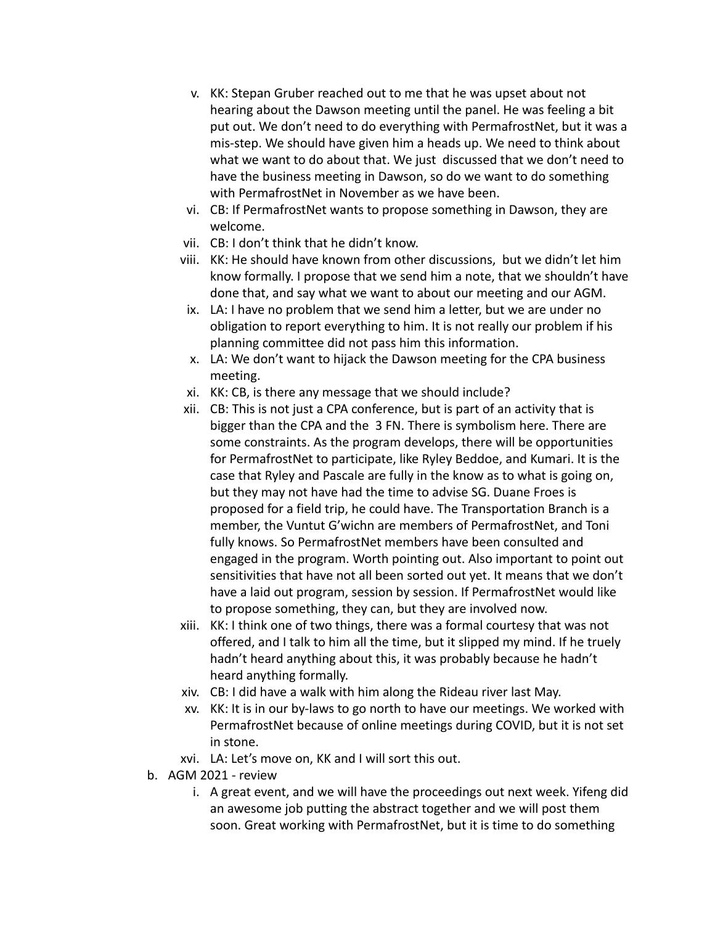- v. KK: Stepan Gruber reached out to me that he was upset about not hearing about the Dawson meeting until the panel. He was feeling a bit put out. We don't need to do everything with PermafrostNet, but it was a mis-step. We should have given him a heads up. We need to think about what we want to do about that. We just discussed that we don't need to have the business meeting in Dawson, so do we want to do something with PermafrostNet in November as we have been.
- vi. CB: If PermafrostNet wants to propose something in Dawson, they are welcome.
- vii. CB: I don't think that he didn't know.
- viii. KK: He should have known from other discussions, but we didn't let him know formally. I propose that we send him a note, that we shouldn't have done that, and say what we want to about our meeting and our AGM.
- ix. LA: I have no problem that we send him a letter, but we are under no obligation to report everything to him. It is not really our problem if his planning committee did not pass him this information.
- x. LA: We don't want to hijack the Dawson meeting for the CPA business meeting.
- xi. KK: CB, is there any message that we should include?
- xii. CB: This is not just a CPA conference, but is part of an activity that is bigger than the CPA and the 3 FN. There is symbolism here. There are some constraints. As the program develops, there will be opportunities for PermafrostNet to participate, like Ryley Beddoe, and Kumari. It is the case that Ryley and Pascale are fully in the know as to what is going on, but they may not have had the time to advise SG. Duane Froes is proposed for a field trip, he could have. The Transportation Branch is a member, the Vuntut G'wichn are members of PermafrostNet, and Toni fully knows. So PermafrostNet members have been consulted and engaged in the program. Worth pointing out. Also important to point out sensitivities that have not all been sorted out yet. It means that we don't have a laid out program, session by session. If PermafrostNet would like to propose something, they can, but they are involved now.
- xiii. KK: I think one of two things, there was a formal courtesy that was not offered, and I talk to him all the time, but it slipped my mind. If he truely hadn't heard anything about this, it was probably because he hadn't heard anything formally.
- xiv. CB: I did have a walk with him along the Rideau river last May.
- xv. KK: It is in our by-laws to go north to have our meetings. We worked with PermafrostNet because of online meetings during COVID, but it is not set in stone.
- xvi. LA: Let's move on, KK and I will sort this out.
- b. AGM 2021 review
	- i. A great event, and we will have the proceedings out next week. Yifeng did an awesome job putting the abstract together and we will post them soon. Great working with PermafrostNet, but it is time to do something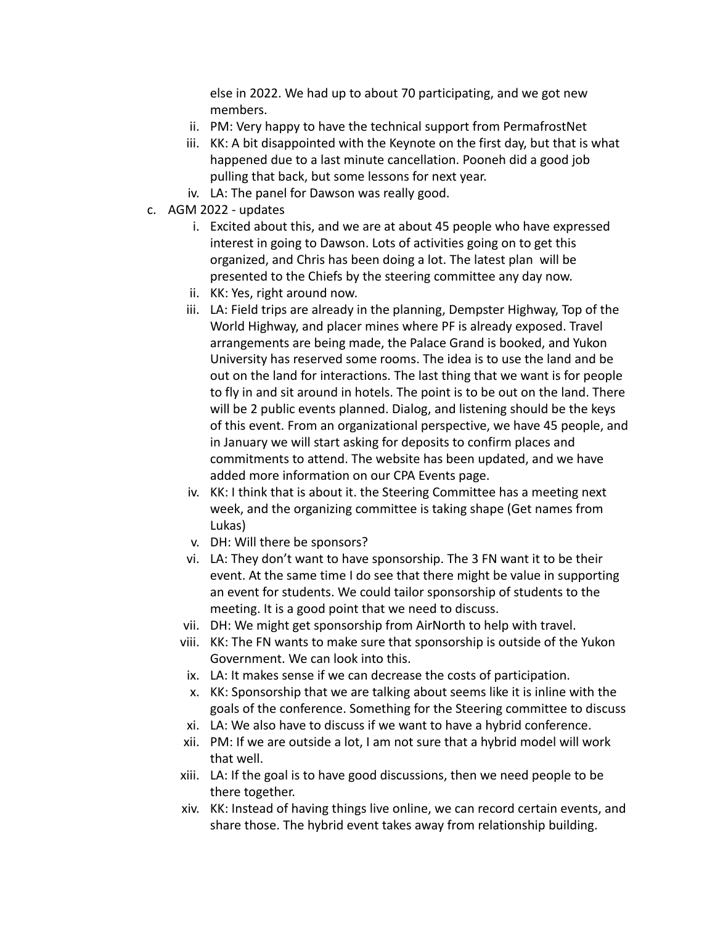else in 2022. We had up to about 70 participating, and we got new members.

- ii. PM: Very happy to have the technical support from PermafrostNet
- iii. KK: A bit disappointed with the Keynote on the first day, but that is what happened due to a last minute cancellation. Pooneh did a good job pulling that back, but some lessons for next year.
- iv. LA: The panel for Dawson was really good.
- c. AGM 2022 updates
	- i. Excited about this, and we are at about 45 people who have expressed interest in going to Dawson. Lots of activities going on to get this organized, and Chris has been doing a lot. The latest plan will be presented to the Chiefs by the steering committee any day now.
	- ii. KK: Yes, right around now.
	- iii. LA: Field trips are already in the planning, Dempster Highway, Top of the World Highway, and placer mines where PF is already exposed. Travel arrangements are being made, the Palace Grand is booked, and Yukon University has reserved some rooms. The idea is to use the land and be out on the land for interactions. The last thing that we want is for people to fly in and sit around in hotels. The point is to be out on the land. There will be 2 public events planned. Dialog, and listening should be the keys of this event. From an organizational perspective, we have 45 people, and in January we will start asking for deposits to confirm places and commitments to attend. The website has been updated, and we have added more information on our CPA Events page.
	- iv. KK: I think that is about it. the Steering Committee has a meeting next week, and the organizing committee is taking shape (Get names from Lukas)
	- v. DH: Will there be sponsors?
	- vi. LA: They don't want to have sponsorship. The 3 FN want it to be their event. At the same time I do see that there might be value in supporting an event for students. We could tailor sponsorship of students to the meeting. It is a good point that we need to discuss.
	- vii. DH: We might get sponsorship from AirNorth to help with travel.
	- viii. KK: The FN wants to make sure that sponsorship is outside of the Yukon Government. We can look into this.
	- ix. LA: It makes sense if we can decrease the costs of participation.
	- x. KK: Sponsorship that we are talking about seems like it is inline with the goals of the conference. Something for the Steering committee to discuss
	- xi. LA: We also have to discuss if we want to have a hybrid conference.
	- xii. PM: If we are outside a lot, I am not sure that a hybrid model will work that well.
	- xiii. LA: If the goal is to have good discussions, then we need people to be there together.
	- xiv. KK: Instead of having things live online, we can record certain events, and share those. The hybrid event takes away from relationship building.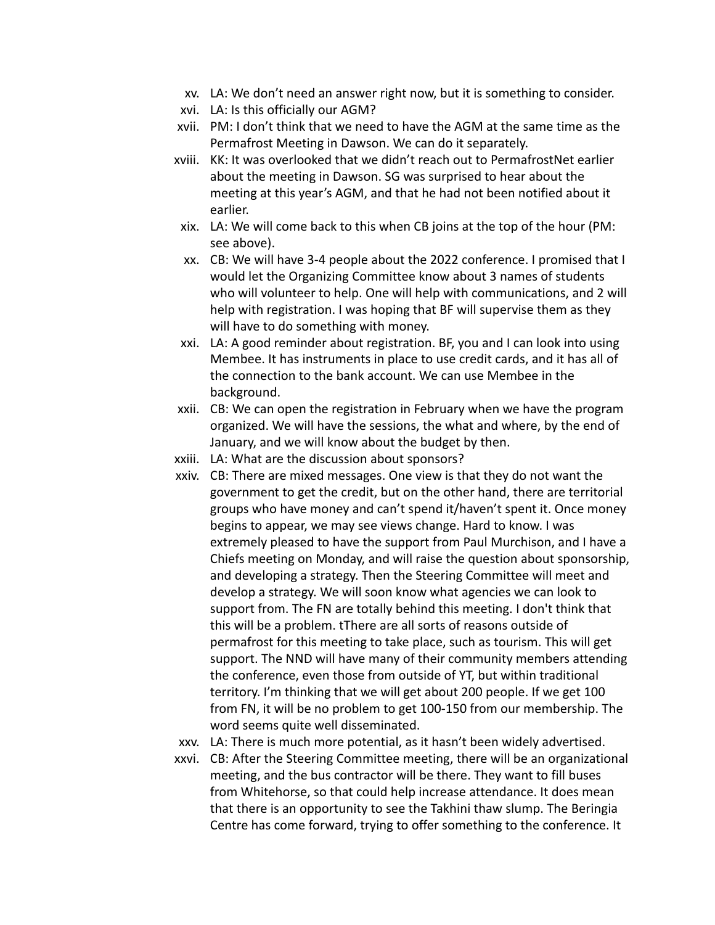- xv. LA: We don't need an answer right now, but it is something to consider.
- xvi. LA: Is this officially our AGM?
- xvii. PM: I don't think that we need to have the AGM at the same time as the Permafrost Meeting in Dawson. We can do it separately.
- xviii. KK: It was overlooked that we didn't reach out to PermafrostNet earlier about the meeting in Dawson. SG was surprised to hear about the meeting at this year's AGM, and that he had not been notified about it earlier.
- xix. LA: We will come back to this when CB joins at the top of the hour (PM: see above).
- xx. CB: We will have 3-4 people about the 2022 conference. I promised that I would let the Organizing Committee know about 3 names of students who will volunteer to help. One will help with communications, and 2 will help with registration. I was hoping that BF will supervise them as they will have to do something with money.
- xxi. LA: A good reminder about registration. BF, you and I can look into using Membee. It has instruments in place to use credit cards, and it has all of the connection to the bank account. We can use Membee in the background.
- xxii. CB: We can open the registration in February when we have the program organized. We will have the sessions, the what and where, by the end of January, and we will know about the budget by then.
- xxiii. LA: What are the discussion about sponsors?
- xxiv. CB: There are mixed messages. One view is that they do not want the government to get the credit, but on the other hand, there are territorial groups who have money and can't spend it/haven't spent it. Once money begins to appear, we may see views change. Hard to know. I was extremely pleased to have the support from Paul Murchison, and I have a Chiefs meeting on Monday, and will raise the question about sponsorship, and developing a strategy. Then the Steering Committee will meet and develop a strategy. We will soon know what agencies we can look to support from. The FN are totally behind this meeting. I don't think that this will be a problem. tThere are all sorts of reasons outside of permafrost for this meeting to take place, such as tourism. This will get support. The NND will have many of their community members attending the conference, even those from outside of YT, but within traditional territory. I'm thinking that we will get about 200 people. If we get 100 from FN, it will be no problem to get 100-150 from our membership. The word seems quite well disseminated.
- xxv. LA: There is much more potential, as it hasn't been widely advertised.
- xxvi. CB: After the Steering Committee meeting, there will be an organizational meeting, and the bus contractor will be there. They want to fill buses from Whitehorse, so that could help increase attendance. It does mean that there is an opportunity to see the Takhini thaw slump. The Beringia Centre has come forward, trying to offer something to the conference. It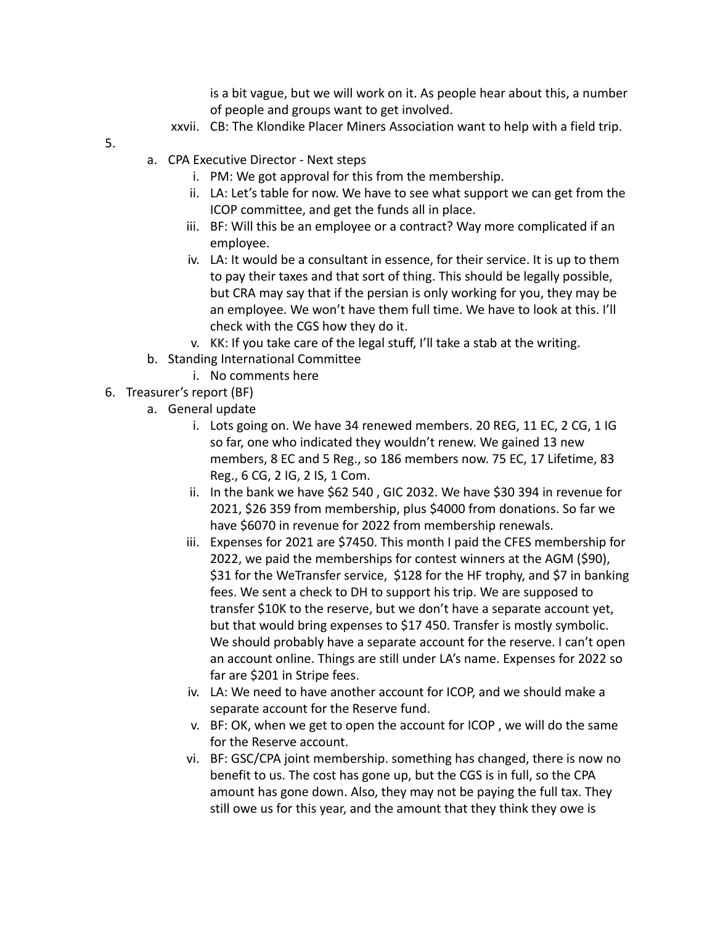is a bit vague, but we will work on it. As people hear about this, a number of people and groups want to get involved.

xxvii. CB: The Klondike Placer Miners Association want to help with a field trip.

5.

- a. CPA Executive Director Next steps
	- i. PM: We got approval for this from the membership.
	- ii. LA: Let's table for now. We have to see what support we can get from the ICOP committee, and get the funds all in place.
	- iii. BF: Will this be an employee or a contract? Way more complicated if an employee.
	- iv. LA: It would be a consultant in essence, for their service. It is up to them to pay their taxes and that sort of thing. This should be legally possible, but CRA may say that if the persian is only working for you, they may be an employee. We won't have them full time. We have to look at this. I'll check with the CGS how they do it.
	- v. KK: If you take care of the legal stuff, I'll take a stab at the writing.
- b. Standing International Committee
	- i. No comments here
- 6. Treasurer's report (BF)
	- a. General update
		- i. Lots going on. We have 34 renewed members. 20 REG, 11 EC, 2 CG, 1 IG so far, one who indicated they wouldn't renew. We gained 13 new members, 8 EC and 5 Reg., so 186 members now. 75 EC, 17 Lifetime, 83 Reg., 6 CG, 2 IG, 2 IS, 1 Com.
		- ii. In the bank we have \$62 540 , GIC 2032. We have \$30 394 in revenue for 2021, \$26 359 from membership, plus \$4000 from donations. So far we have \$6070 in revenue for 2022 from membership renewals.
		- iii. Expenses for 2021 are \$7450. This month I paid the CFES membership for 2022, we paid the memberships for contest winners at the AGM (\$90), \$31 for the WeTransfer service, \$128 for the HF trophy, and \$7 in banking fees. We sent a check to DH to support his trip. We are supposed to transfer \$10K to the reserve, but we don't have a separate account yet, but that would bring expenses to \$17 450. Transfer is mostly symbolic. We should probably have a separate account for the reserve. I can't open an account online. Things are still under LA's name. Expenses for 2022 so far are \$201 in Stripe fees.
		- iv. LA: We need to have another account for ICOP, and we should make a separate account for the Reserve fund.
		- v. BF: OK, when we get to open the account for ICOP , we will do the same for the Reserve account.
		- vi. BF: GSC/CPA joint membership. something has changed, there is now no benefit to us. The cost has gone up, but the CGS is in full, so the CPA amount has gone down. Also, they may not be paying the full tax. They still owe us for this year, and the amount that they think they owe is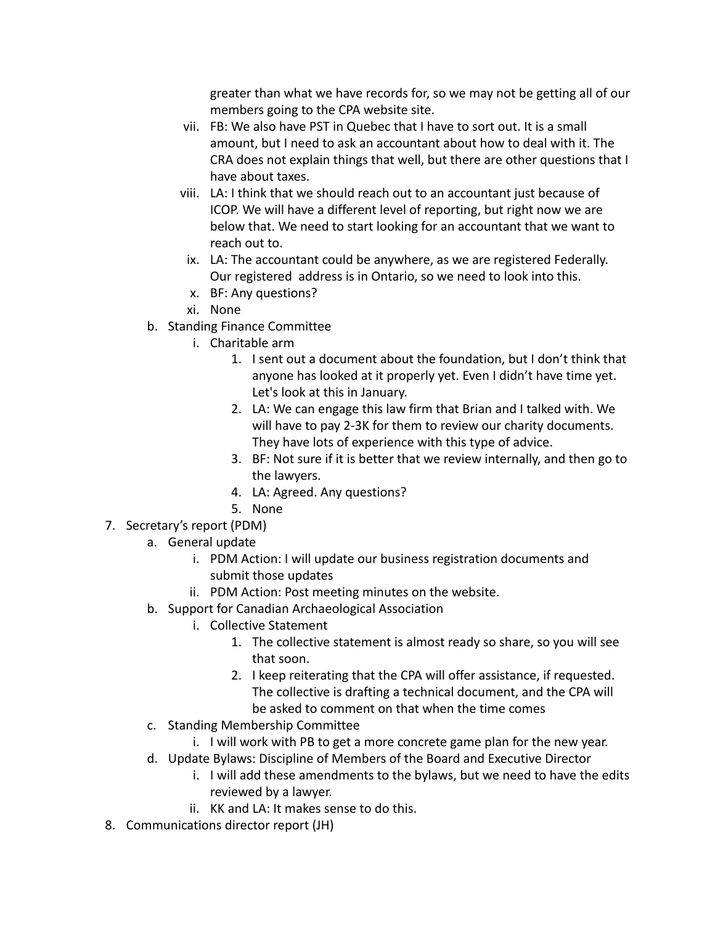greater than what we have records for, so we may not be getting all of our members going to the CPA website site.

- vii. FB: We also have PST in Quebec that I have to sort out. It is a small amount, but I need to ask an accountant about how to deal with it. The CRA does not explain things that well, but there are other questions that I have about taxes.
- viii. LA: I think that we should reach out to an accountant just because of ICOP. We will have a different level of reporting, but right now we are below that. We need to start looking for an accountant that we want to reach out to.
- ix. LA: The accountant could be anywhere, as we are registered Federally. Our registered address is in Ontario, so we need to look into this.
- x. BF: Any questions?
- xi. None
- b. Standing Finance Committee
	- i. Charitable arm
		- 1. I sent out a document about the foundation, but I don't think that anyone has looked at it properly yet. Even I didn't have time yet. Let's look at this in January.
		- 2. LA: We can engage this law firm that Brian and I talked with. We will have to pay 2-3K for them to review our charity documents. They have lots of experience with this type of advice.
		- 3. BF: Not sure if it is better that we review internally, and then go to the lawyers.
		- 4. LA: Agreed. Any questions?
		- 5. None
- 7. Secretary's report (PDM)
	- a. General update
		- i. PDM Action: I will update our business registration documents and submit those updates
		- ii. PDM Action: Post meeting minutes on the website.
	- b. Support for Canadian Archaeological Association
		- i. Collective Statement
			- 1. The collective statement is almost ready so share, so you will see that soon.
			- 2. I keep reiterating that the CPA will offer assistance, if requested. The collective is drafting a technical document, and the CPA will be asked to comment on that when the time comes
	- c. Standing Membership Committee
		- i. I will work with PB to get a more concrete game plan for the new year.
	- d. Update Bylaws: Discipline of Members of the Board and Executive Director
		- i. I will add these amendments to the bylaws, but we need to have the edits reviewed by a lawyer.
		- ii. KK and LA: It makes sense to do this.
- 8. Communications director report (JH)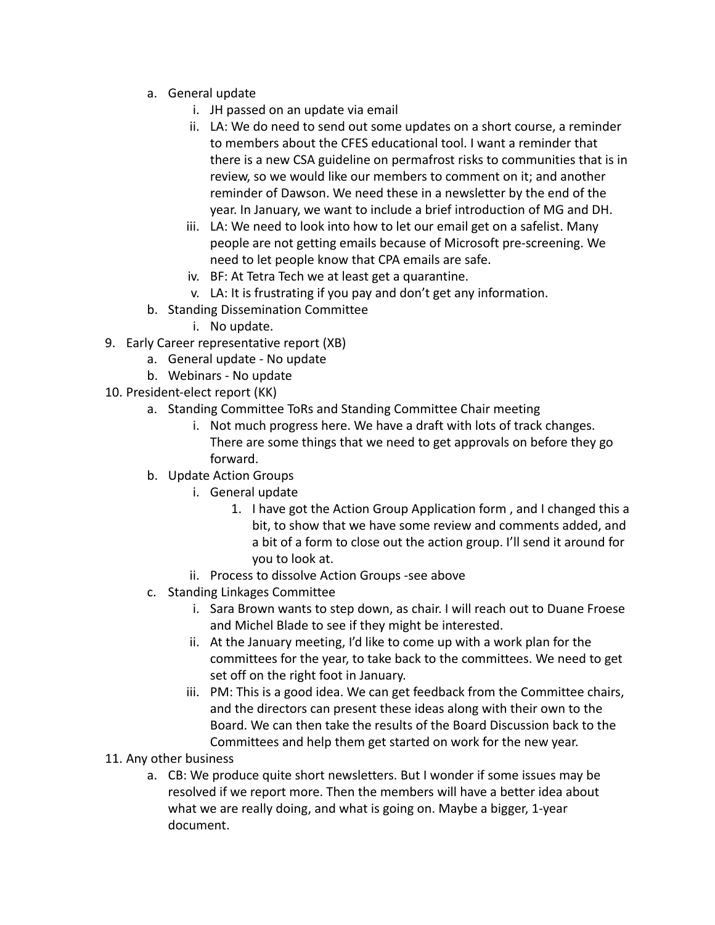- a. General update
	- i. JH passed on an update via email
	- ii. LA: We do need to send out some updates on a short course, a reminder to members about the CFES educational tool. I want a reminder that there is a new CSA guideline on permafrost risks to communities that is in review, so we would like our members to comment on it; and another reminder of Dawson. We need these in a newsletter by the end of the year. In January, we want to include a brief introduction of MG and DH.
	- iii. LA: We need to look into how to let our email get on a safelist. Many people are not getting emails because of Microsoft pre-screening. We need to let people know that CPA emails are safe.
	- iv. BF: At Tetra Tech we at least get a quarantine.
	- v. LA: It is frustrating if you pay and don't get any information.
- b. Standing Dissemination Committee
	- i. No update.
- 9. Early Career representative report (XB)
	- a. General update No update
	- b. Webinars No update
- 10. President-elect report (KK)
	- a. Standing Committee ToRs and Standing Committee Chair meeting
		- i. Not much progress here. We have a draft with lots of track changes. There are some things that we need to get approvals on before they go forward.
	- b. Update Action Groups
		- i. General update
			- 1. I have got the Action Group Application form , and I changed this a bit, to show that we have some review and comments added, and a bit of a form to close out the action group. I'll send it around for you to look at.
		- ii. Process to dissolve Action Groups -see above
	- c. Standing Linkages Committee
		- i. Sara Brown wants to step down, as chair. I will reach out to Duane Froese and Michel Blade to see if they might be interested.
		- ii. At the January meeting, I'd like to come up with a work plan for the committees for the year, to take back to the committees. We need to get set off on the right foot in January.
		- iii. PM: This is a good idea. We can get feedback from the Committee chairs, and the directors can present these ideas along with their own to the Board. We can then take the results of the Board Discussion back to the Committees and help them get started on work for the new year.
- 11. Any other business
	- a. CB: We produce quite short newsletters. But I wonder if some issues may be resolved if we report more. Then the members will have a better idea about what we are really doing, and what is going on. Maybe a bigger, 1-year document.